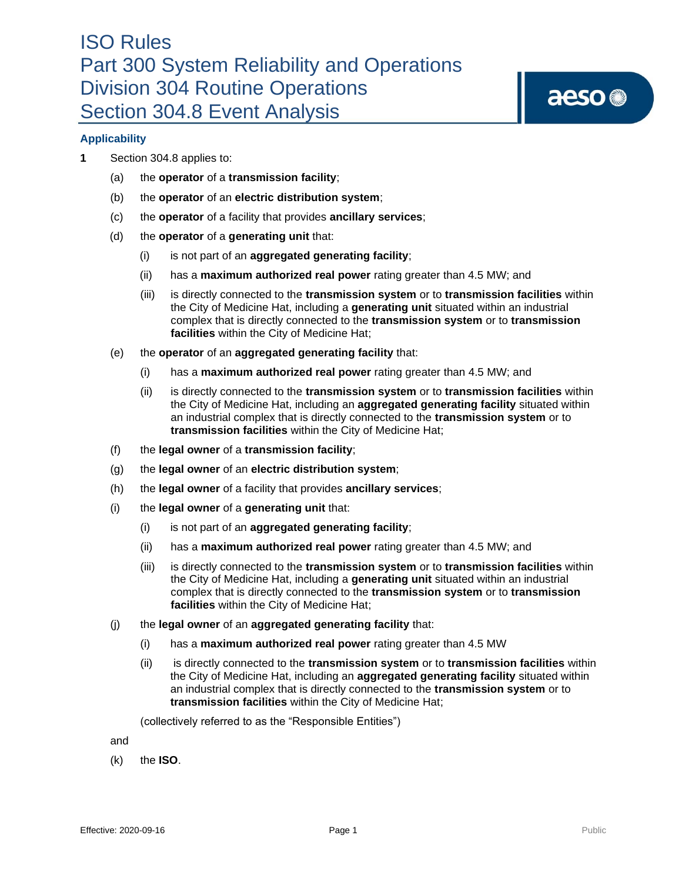

## **Applicability**

- **1** Section 304.8 applies to:
	- (a) the **operator** of a **transmission facility**;
	- (b) the **operator** of an **electric distribution system**;
	- (c) the **operator** of a facility that provides **ancillary services**;
	- (d) the **operator** of a **generating unit** that:
		- (i) is not part of an **aggregated generating facility**;
		- (ii) has a **maximum authorized real power** rating greater than 4.5 MW; and
		- (iii) is directly connected to the **transmission system** or to **transmission facilities** within the City of Medicine Hat, including a **generating unit** situated within an industrial complex that is directly connected to the **transmission system** or to **transmission facilities** within the City of Medicine Hat;
	- (e) the **operator** of an **aggregated generating facility** that:
		- (i) has a **maximum authorized real power** rating greater than 4.5 MW; and
		- (ii) is directly connected to the **transmission system** or to **transmission facilities** within the City of Medicine Hat, including an **aggregated generating facility** situated within an industrial complex that is directly connected to the **transmission system** or to **transmission facilities** within the City of Medicine Hat;
	- (f) the **legal owner** of a **transmission facility**;
	- (g) the **legal owner** of an **electric distribution system**;
	- (h) the **legal owner** of a facility that provides **ancillary services**;
	- (i) the **legal owner** of a **generating unit** that:
		- (i) is not part of an **aggregated generating facility**;
		- (ii) has a **maximum authorized real power** rating greater than 4.5 MW; and
		- (iii) is directly connected to the **transmission system** or to **transmission facilities** within the City of Medicine Hat, including a **generating unit** situated within an industrial complex that is directly connected to the **transmission system** or to **transmission facilities** within the City of Medicine Hat;
	- (j) the **legal owner** of an **aggregated generating facility** that:
		- (i) has a **maximum authorized real power** rating greater than 4.5 MW
		- (ii) is directly connected to the **transmission system** or to **transmission facilities** within the City of Medicine Hat, including an **aggregated generating facility** situated within an industrial complex that is directly connected to the **transmission system** or to **transmission facilities** within the City of Medicine Hat;

(collectively referred to as the "Responsible Entities")

and

(k) the **ISO**.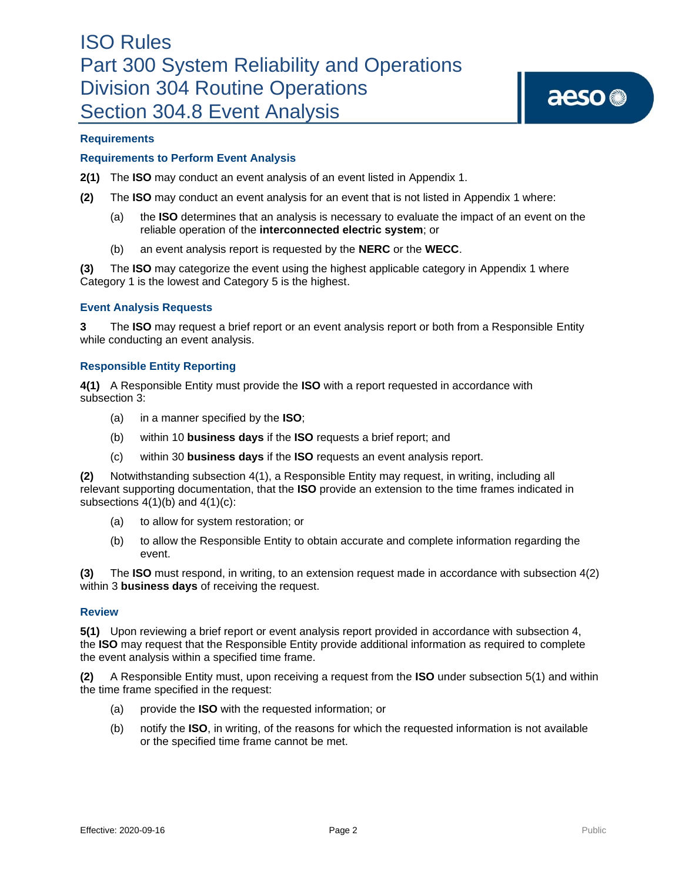## **Requirements**

### **Requirements to Perform Event Analysis**

**2(1)** The **ISO** may conduct an event analysis of an event listed in Appendix 1.

- **(2)** The **ISO** may conduct an event analysis for an event that is not listed in Appendix 1 where:
	- (a) the **ISO** determines that an analysis is necessary to evaluate the impact of an event on the reliable operation of the **interconnected electric system**; or
	- (b) an event analysis report is requested by the **NERC** or the **WECC**.

**(3)** The **ISO** may categorize the event using the highest applicable category in Appendix 1 where Category 1 is the lowest and Category 5 is the highest.

#### **Event Analysis Requests**

**3** The **ISO** may request a brief report or an event analysis report or both from a Responsible Entity while conducting an event analysis.

#### **Responsible Entity Reporting**

**4(1)** A Responsible Entity must provide the **ISO** with a report requested in accordance with subsection 3:

- (a) in a manner specified by the **ISO**;
- (b) within 10 **business days** if the **ISO** requests a brief report; and
- (c) within 30 **business days** if the **ISO** requests an event analysis report.

**(2)** Notwithstanding subsection 4(1), a Responsible Entity may request, in writing, including all relevant supporting documentation, that the **ISO** provide an extension to the time frames indicated in subsections  $4(1)(b)$  and  $4(1)(c)$ :

- (a) to allow for system restoration; or
- (b) to allow the Responsible Entity to obtain accurate and complete information regarding the event.

**(3)** The **ISO** must respond, in writing, to an extension request made in accordance with subsection 4(2) within 3 **business days** of receiving the request.

## **Review**

**5(1)** Upon reviewing a brief report or event analysis report provided in accordance with subsection 4, the **ISO** may request that the Responsible Entity provide additional information as required to complete the event analysis within a specified time frame.

**(2)** A Responsible Entity must, upon receiving a request from the **ISO** under subsection 5(1) and within the time frame specified in the request:

- (a) provide the **ISO** with the requested information; or
- (b) notify the **ISO**, in writing, of the reasons for which the requested information is not available or the specified time frame cannot be met.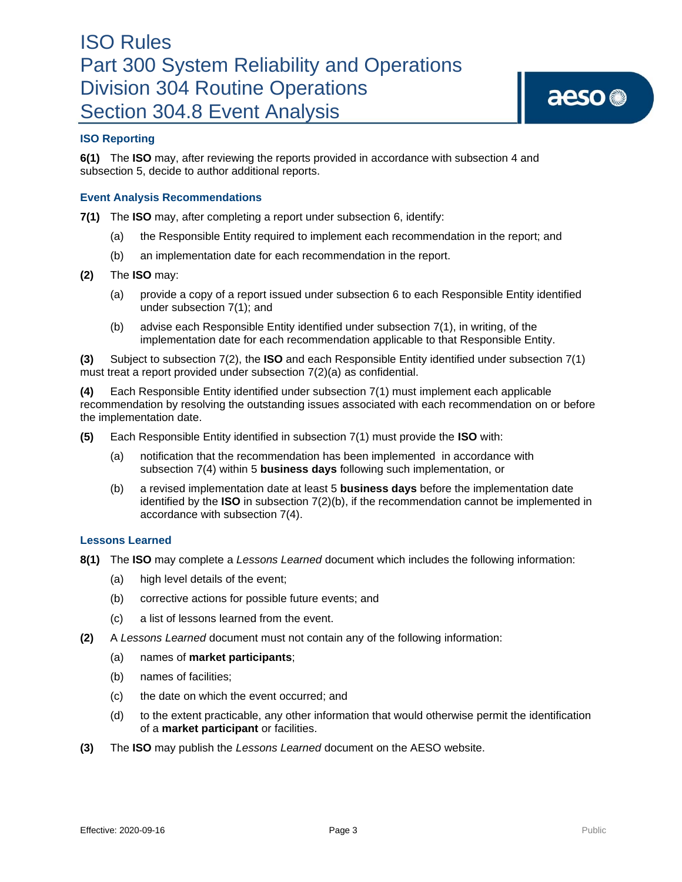## **ISO Reporting**

**6(1)** The **ISO** may, after reviewing the reports provided in accordance with subsection 4 and subsection 5, decide to author additional reports.

#### **Event Analysis Recommendations**

**7(1)** The **ISO** may, after completing a report under subsection 6, identify:

- (a) the Responsible Entity required to implement each recommendation in the report; and
- (b) an implementation date for each recommendation in the report.
- **(2)** The **ISO** may:
	- (a) provide a copy of a report issued under subsection 6 to each Responsible Entity identified under subsection 7(1); and
	- (b) advise each Responsible Entity identified under subsection 7(1), in writing, of the implementation date for each recommendation applicable to that Responsible Entity.

**(3)** Subject to subsection 7(2), the **ISO** and each Responsible Entity identified under subsection 7(1) must treat a report provided under subsection 7(2)(a) as confidential.

**(4)** Each Responsible Entity identified under subsection 7(1) must implement each applicable recommendation by resolving the outstanding issues associated with each recommendation on or before the implementation date.

- **(5)** Each Responsible Entity identified in subsection 7(1) must provide the **ISO** with:
	- (a) notification that the recommendation has been implemented in accordance with subsection 7(4) within 5 **business days** following such implementation, or
	- (b) a revised implementation date at least 5 **business days** before the implementation date identified by the **ISO** in subsection 7(2)(b), if the recommendation cannot be implemented in accordance with subsection 7(4).

#### **Lessons Learned**

- **8(1)** The **ISO** may complete a *Lessons Learned* document which includes the following information:
	- (a) high level details of the event;
	- (b) corrective actions for possible future events; and
	- (c) a list of lessons learned from the event.
- **(2)** A *Lessons Learned* document must not contain any of the following information:
	- (a) names of **market participants**;
	- (b) names of facilities;
	- (c) the date on which the event occurred; and
	- (d) to the extent practicable, any other information that would otherwise permit the identification of a **market participant** or facilities.
- **(3)** The **ISO** may publish the *Lessons Learned* document on the AESO website.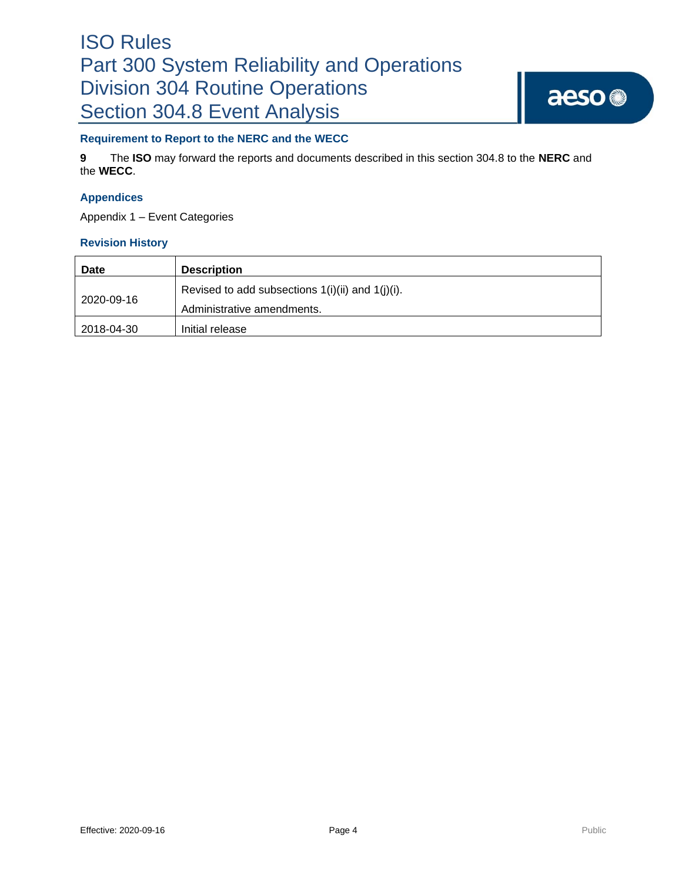# ISO Rules Part 300 System Reliability and Operations Division 304 Routine Operations Section 304.8 Event Analysis

## **Requirement to Report to the NERC and the WECC**

**9** The **ISO** may forward the reports and documents described in this section 304.8 to the **NERC** and the **WECC**.

## **Appendices**

Appendix 1 – Event Categories

## **Revision History**

| <b>Date</b> | <b>Description</b>                                                                  |
|-------------|-------------------------------------------------------------------------------------|
| 2020-09-16  | Revised to add subsections $1(i)(ii)$ and $1(j)(i)$ .<br>Administrative amendments. |
| 2018-04-30  | Initial release                                                                     |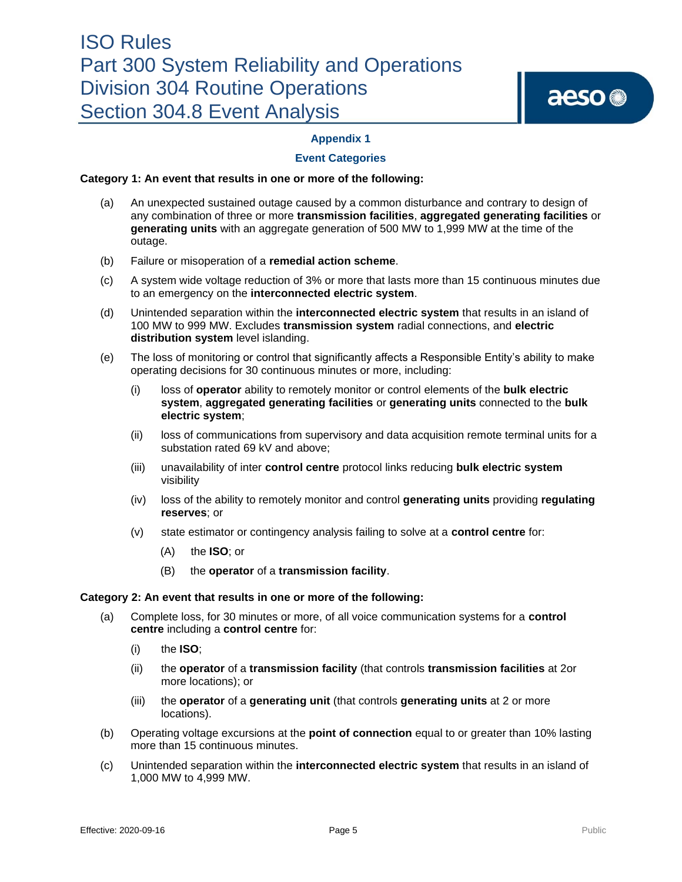## **Appendix 1**

## **Event Categories**

#### **Category 1: An event that results in one or more of the following:**

- (a) An unexpected sustained outage caused by a common disturbance and contrary to design of any combination of three or more **transmission facilities**, **aggregated generating facilities** or **generating units** with an aggregate generation of 500 MW to 1,999 MW at the time of the outage.
- (b) Failure or misoperation of a **remedial action scheme**.
- (c) A system wide voltage reduction of 3% or more that lasts more than 15 continuous minutes due to an emergency on the **interconnected electric system**.
- (d) Unintended separation within the **interconnected electric system** that results in an island of 100 MW to 999 MW. Excludes **transmission system** radial connections, and **electric distribution system** level islanding.
- (e) The loss of monitoring or control that significantly affects a Responsible Entity's ability to make operating decisions for 30 continuous minutes or more, including:
	- (i) loss of **operator** ability to remotely monitor or control elements of the **bulk electric system**, **aggregated generating facilities** or **generating units** connected to the **bulk electric system**;
	- (ii) loss of communications from supervisory and data acquisition remote terminal units for a substation rated 69 kV and above;
	- (iii) unavailability of inter **control centre** protocol links reducing **bulk electric system** visibility
	- (iv) loss of the ability to remotely monitor and control **generating units** providing **regulating reserves**; or
	- (v) state estimator or contingency analysis failing to solve at a **control centre** for:
		- (A) the **ISO**; or
		- (B) the **operator** of a **transmission facility**.

#### **Category 2: An event that results in one or more of the following:**

- (a) Complete loss, for 30 minutes or more, of all voice communication systems for a **control centre** including a **control centre** for:
	- (i) the **ISO**;
	- (ii) the **operator** of a **transmission facility** (that controls **transmission facilities** at 2or more locations); or
	- (iii) the **operator** of a **generating unit** (that controls **generating units** at 2 or more locations).
- (b) Operating voltage excursions at the **point of connection** equal to or greater than 10% lasting more than 15 continuous minutes.
- (c) Unintended separation within the **interconnected electric system** that results in an island of 1,000 MW to 4,999 MW.